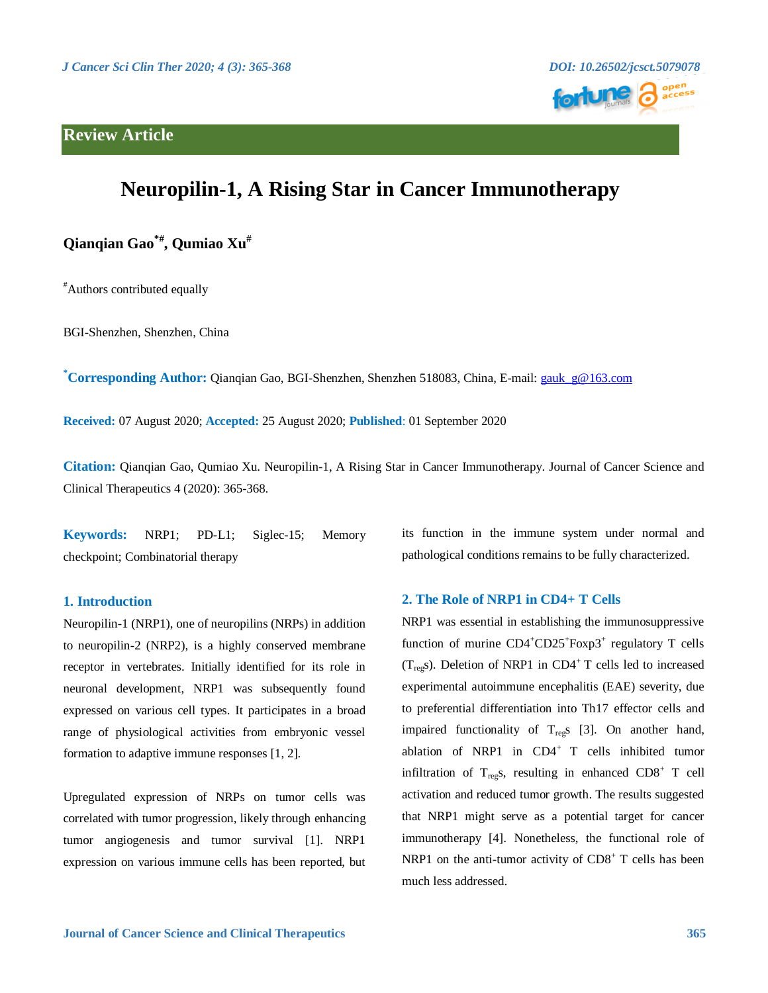## **Review Article**



# **Neuropilin-1, A Rising Star in Cancer Immunotherapy**

**Qianqian Gao\*# , Qumiao Xu#**

#Authors contributed equally

BGI-Shenzhen, Shenzhen, China

**\*Corresponding Author:** Qianqian Gao, BGI-Shenzhen, Shenzhen 518083, China, E-mail: [gauk\\_g@163.com](mailto:gauk_g@163.com)

**Received:** 07 August 2020; **Accepted:** 25 August 2020; **Published**: 01 September 2020

**Citation:** Qianqian Gao, Qumiao Xu. Neuropilin-1, A Rising Star in Cancer Immunotherapy. Journal of Cancer Science and Clinical Therapeutics 4 (2020): 365-368.

**Keywords:** NRP1; PD-L1; Siglec-15; Memory checkpoint; Combinatorial therapy

### **1. Introduction**

Neuropilin-1 (NRP1), one of neuropilins (NRPs) in addition to neuropilin-2 (NRP2), is a highly conserved membrane receptor in vertebrates. Initially identified for its role in neuronal development, NRP1 was subsequently found expressed on various cell types. It participates in a broad range of physiological activities from embryonic vessel formation to adaptive immune responses [1, 2].

Upregulated expression of NRPs on tumor cells was correlated with tumor progression, likely through enhancing tumor angiogenesis and tumor survival [1]. NRP1 expression on various immune cells has been reported, but its function in the immune system under normal and pathological conditions remains to be fully characterized.

#### **2. The Role of NRP1 in CD4+ T Cells**

NRP1 was essential in establishing the immunosuppressive function of murine  $CD4^+CD25^+$ Foxp3<sup>+</sup> regulatory T cells ( $T_{reg}$ s). Deletion of NRP1 in CD4<sup>+</sup> T cells led to increased experimental autoimmune encephalitis (EAE) severity, due to preferential differentiation into Th17 effector cells and impaired functionality of  $T_{reg}$  [3]. On another hand, ablation of NRP1 in  $CD4^+$  T cells inhibited tumor infiltration of  $T_{res}$ , resulting in enhanced  $CD8^+$  T cell activation and reduced tumor growth. The results suggested that NRP1 might serve as a potential target for cancer immunotherapy [4]. Nonetheless, the functional role of NRP1 on the anti-tumor activity of  $CD8<sup>+</sup>$  T cells has been much less addressed.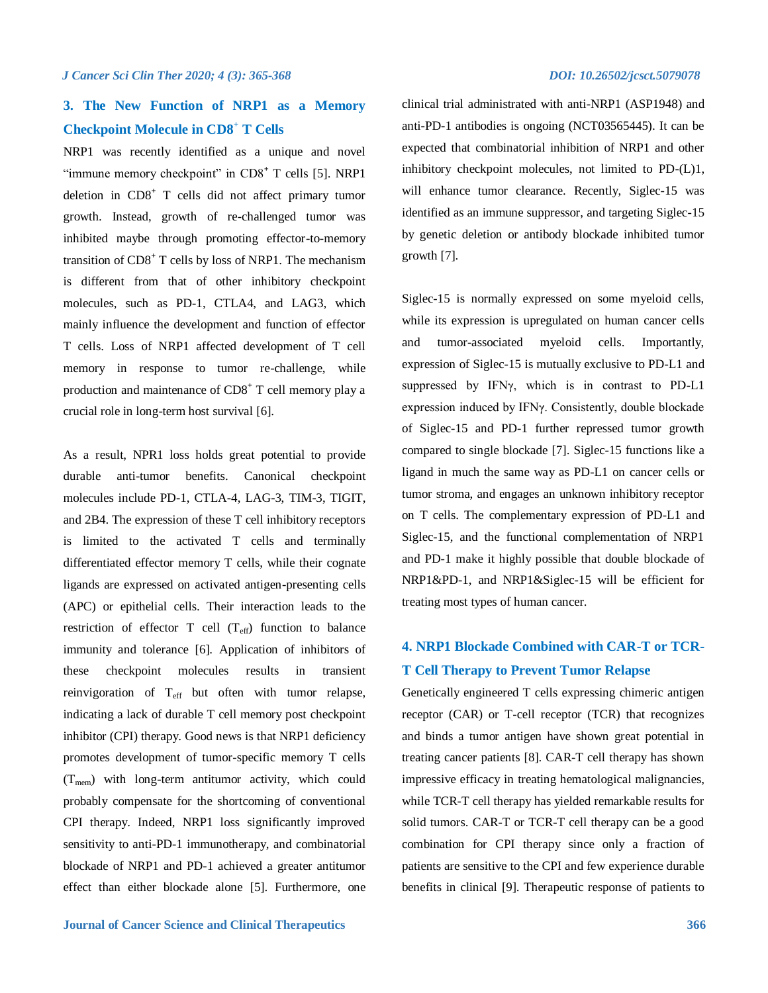## **3. The New Function of NRP1 as a Memory Checkpoint Molecule in CD8<sup>+</sup> T Cells**

NRP1 was recently identified as a unique and novel "immune memory checkpoint" in CD8**<sup>+</sup>** T cells [5]. NRP1 deletion in CD8**<sup>+</sup>** T cells did not affect primary tumor growth. Instead, growth of re-challenged tumor was inhibited maybe through promoting effector-to-memory transition of CD8**<sup>+</sup>** T cells by loss of NRP1. The mechanism is different from that of other inhibitory checkpoint molecules, such as PD-1, CTLA4, and LAG3, which mainly influence the development and function of effector T cells. Loss of NRP1 affected development of T cell memory in response to tumor re-challenge, while production and maintenance of CD8**<sup>+</sup>** T cell memory play a crucial role in long-term host survival [6].

As a result, NPR1 loss holds great potential to provide durable anti-tumor benefits. Canonical checkpoint molecules include PD-1, CTLA-4, LAG-3, TIM-3, TIGIT, and 2B4. The expression of these T cell inhibitory receptors is limited to the activated T cells and terminally differentiated effector memory T cells, while their cognate ligands are expressed on activated antigen-presenting cells (APC) or epithelial cells. Their interaction leads to the restriction of effector  $T$  cell  $(T_{\text{eff}})$  function to balance immunity and tolerance [6]. Application of inhibitors of these checkpoint molecules results in transient reinvigoration of T<sub>eff</sub> but often with tumor relapse, indicating a lack of durable T cell memory post checkpoint inhibitor (CPI) therapy. Good news is that NRP1 deficiency promotes development of tumor-specific memory T cells  $(T_{mem})$  with long-term antitumor activity, which could probably compensate for the shortcoming of conventional CPI therapy. Indeed, NRP1 loss significantly improved sensitivity to anti-PD-1 immunotherapy, and combinatorial blockade of NRP1 and PD-1 achieved a greater antitumor effect than either blockade alone [5]. Furthermore, one clinical trial administrated with anti-NRP1 (ASP1948) and anti-PD-1 antibodies is ongoing (NCT03565445). It can be expected that combinatorial inhibition of NRP1 and other inhibitory checkpoint molecules, not limited to PD-(L)1, will enhance tumor clearance. Recently, Siglec-15 was identified as an immune suppressor, and targeting Siglec-15 by genetic deletion or antibody blockade inhibited tumor growth [7].

Siglec-15 is normally expressed on some myeloid cells, while its expression is upregulated on human cancer cells and tumor-associated myeloid cells. Importantly, expression of Siglec-15 is mutually exclusive to PD-L1 and suppressed by IFNγ, which is in contrast to PD-L1 expression induced by IFNγ. Consistently, double blockade of Siglec-15 and PD-1 further repressed tumor growth compared to single blockade [7]. Siglec-15 functions like a ligand in much the same way as PD-L1 on cancer cells or tumor stroma, and engages an unknown inhibitory receptor on T cells. The complementary expression of PD-L1 and Siglec-15, and the functional complementation of NRP1 and PD-1 make it highly possible that double blockade of NRP1&PD-1, and NRP1&Siglec-15 will be efficient for treating most types of human cancer.

## **4. NRP1 Blockade Combined with CAR-T or TCR-T Cell Therapy to Prevent Tumor Relapse**

Genetically engineered T cells expressing chimeric antigen receptor (CAR) or T-cell receptor (TCR) that recognizes and binds a tumor antigen have shown great potential in treating cancer patients [8]. CAR-T cell therapy has shown impressive efficacy in treating hematological malignancies, while TCR-T cell therapy has yielded remarkable results for solid tumors. CAR-T or TCR-T cell therapy can be a good combination for CPI therapy since only a fraction of patients are sensitive to the CPI and few experience durable benefits in clinical [9]. Therapeutic response of patients to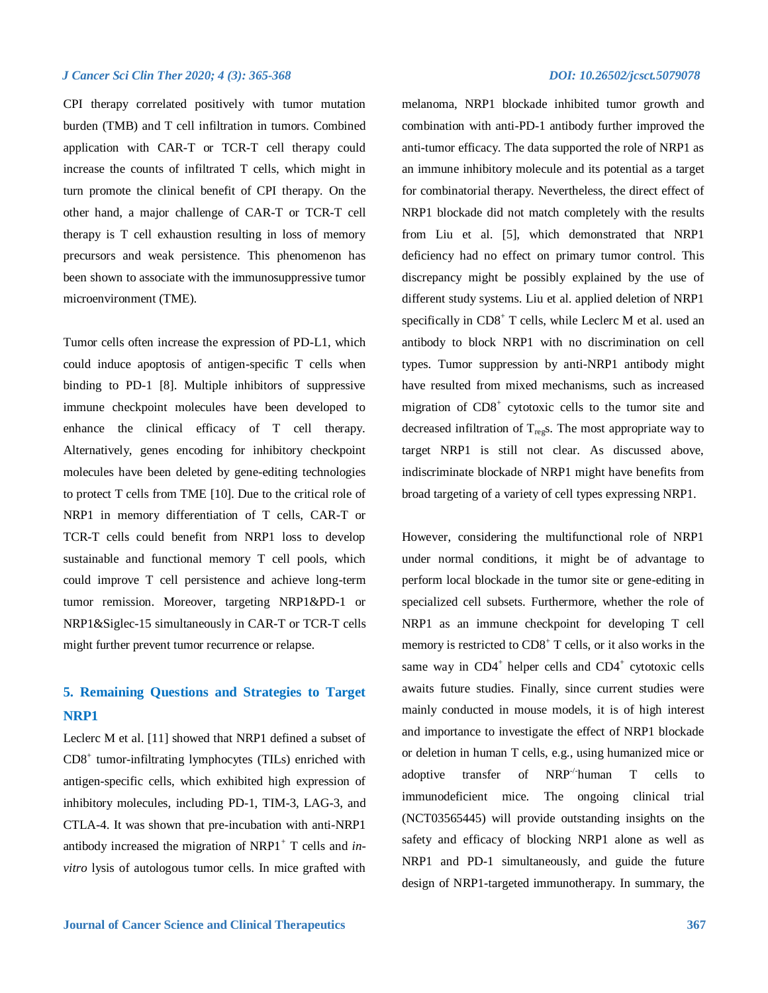#### *J Cancer Sci Clin Ther 2020; 4 (3): 365-368 DOI: 10.26502/jcsct.5079078*

CPI therapy correlated positively with tumor mutation burden (TMB) and T cell infiltration in tumors. Combined application with CAR-T or TCR-T cell therapy could increase the counts of infiltrated T cells, which might in turn promote the clinical benefit of CPI therapy. On the other hand, a major challenge of CAR-T or TCR-T cell therapy is T cell exhaustion resulting in loss of memory precursors and weak persistence. This phenomenon has been shown to associate with the immunosuppressive tumor microenvironment (TME).

Tumor cells often increase the expression of PD-L1, which could induce apoptosis of antigen-specific T cells when binding to PD-1 [8]. Multiple inhibitors of suppressive immune checkpoint molecules have been developed to enhance the clinical efficacy of T cell therapy. Alternatively, genes encoding for inhibitory checkpoint molecules have been deleted by gene-editing technologies to protect T cells from TME [10]. Due to the critical role of NRP1 in memory differentiation of T cells, CAR-T or TCR-T cells could benefit from NRP1 loss to develop sustainable and functional memory T cell pools, which could improve T cell persistence and achieve long-term tumor remission. Moreover, targeting NRP1&PD-1 or NRP1&Siglec-15 simultaneously in CAR-T or TCR-T cells might further prevent tumor recurrence or relapse.

## **5. Remaining Questions and Strategies to Target NRP1**

Leclerc M et al. [11] showed that NRP1 defined a subset of CD8<sup>+</sup> tumor-infiltrating lymphocytes (TILs) enriched with antigen-specific cells, which exhibited high expression of inhibitory molecules, including PD-1, TIM-3, LAG-3, and CTLA-4. It was shown that pre-incubation with anti-NRP1 antibody increased the migration of NRP1*<sup>+</sup>* T cells and *invitro* lysis of autologous tumor cells. In mice grafted with

melanoma, NRP1 blockade inhibited tumor growth and combination with anti-PD-1 antibody further improved the anti-tumor efficacy. The data supported the role of NRP1 as an immune inhibitory molecule and its potential as a target for combinatorial therapy. Nevertheless, the direct effect of NRP1 blockade did not match completely with the results from Liu et al. [5], which demonstrated that NRP1 deficiency had no effect on primary tumor control. This discrepancy might be possibly explained by the use of different study systems. Liu et al. applied deletion of NRP1 specifically in  $CDS<sup>+</sup> T$  cells, while Leclerc M et al. used an antibody to block NRP1 with no discrimination on cell types. Tumor suppression by anti-NRP1 antibody might have resulted from mixed mechanisms, such as increased migration of CD8<sup>+</sup> cytotoxic cells to the tumor site and decreased infiltration of  $T_{\text{res}}$ . The most appropriate way to target NRP1 is still not clear. As discussed above, indiscriminate blockade of NRP1 might have benefits from broad targeting of a variety of cell types expressing NRP1.

However, considering the multifunctional role of NRP1 under normal conditions, it might be of advantage to perform local blockade in the tumor site or gene-editing in specialized cell subsets. Furthermore, whether the role of NRP1 as an immune checkpoint for developing T cell memory is restricted to  $CD8<sup>+</sup>$  T cells, or it also works in the same way in CD4<sup>+</sup> helper cells and CD4<sup>+</sup> cytotoxic cells awaits future studies. Finally, since current studies were mainly conducted in mouse models, it is of high interest and importance to investigate the effect of NRP1 blockade or deletion in human T cells, e.g., using humanized mice or adoptive transfer of NRP<sup>-/-</sup>human T cells to immunodeficient mice. The ongoing clinical trial (NCT03565445) will provide outstanding insights on the safety and efficacy of blocking NRP1 alone as well as NRP1 and PD-1 simultaneously, and guide the future design of NRP1-targeted immunotherapy. In summary, the